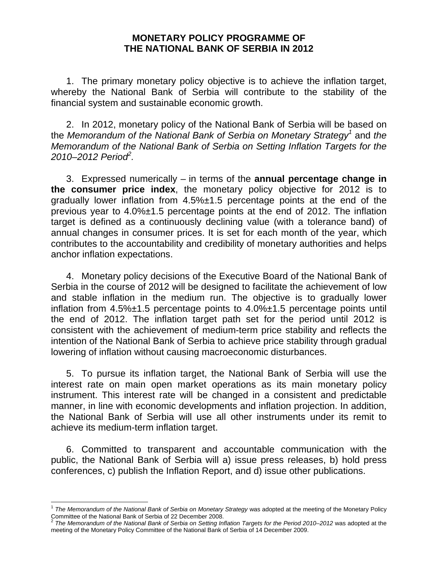## **MONETARY POLICY PROGRAMME OF THE NATIONAL BANK OF SERBIA IN 2012**

 1. The primary monetary policy objective is to achieve the inflation target, whereby the National Bank of Serbia will contribute to the stability of the financial system and sustainable economic growth.

 2. In 2012, monetary policy of the National Bank of Serbia will be based on the *Memorandum of the National Bank of Serbia on Monetary Strategy<sup>1</sup>* and *the Memorandum of the National Bank of Serbia on Setting Inflation Targets for the 2010–2012 Period<sup>2</sup> .* 

 3. Expressed numerically – in terms of the **annual percentage change in the consumer price index**, the monetary policy objective for 2012 is to gradually lower inflation from 4.5%±1.5 percentage points at the end of the previous year to 4.0%±1.5 percentage points at the end of 2012. The inflation target is defined as a continuously declining value (with a tolerance band) of annual changes in consumer prices. It is set for each month of the year, which contributes to the accountability and credibility of monetary authorities and helps anchor inflation expectations.

 4. Monetary policy decisions of the Executive Board of the National Bank of Serbia in the course of 2012 will be designed to facilitate the achievement of low and stable inflation in the medium run. The objective is to gradually lower inflation from 4.5%±1.5 percentage points to 4.0%±1.5 percentage points until the end of 2012. The inflation target path set for the period until 2012 is consistent with the achievement of medium-term price stability and reflects the intention of the National Bank of Serbia to achieve price stability through gradual lowering of inflation without causing macroeconomic disturbances.

 5. To pursue its inflation target, the National Bank of Serbia will use the interest rate on main open market operations as its main monetary policy instrument. This interest rate will be changed in a consistent and predictable manner, in line with economic developments and inflation projection. In addition, the National Bank of Serbia will use all other instruments under its remit to achieve its medium-term inflation target.

 6. Committed to transparent and accountable communication with the public, the National Bank of Serbia will a) issue press releases, b) hold press conferences, c) publish the Inflation Report, and d) issue other publications.

l <sup>1</sup> *The Memorandum of the National Bank of Serbia on Monetary Strategy* was adopted at the meeting of the Monetary Policy Committee of the National Bank of Serbia of 22 December 2008.<br><sup>2</sup> The Memorandum of the National Bank of Serbia on Setting Inflation Targets for the Period 2010–2012 was adopted at the

meeting of the Monetary Policy Committee of the National Bank of Serbia of 14 December 2009.